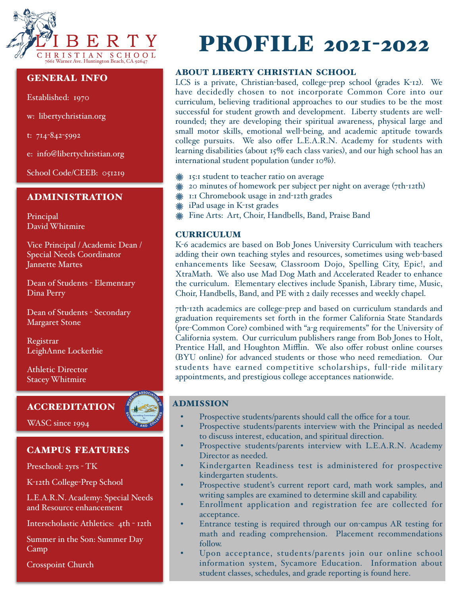

## GENERAL INFO

Established: 1970

w: libertychristian.org

t: 714-842-5992

e: info@libertychristian.org

School Code/CEEB: 051219

### ADMINISTRATION

Principal David Whitmire

Vice Principal / Academic Dean / Special Needs Coordinator Jannette Martes

Dean of Students - Elementary Dina Perry

Dean of Students - Secondary Margaret Stone

Registrar LeighAnne Lockerbie

Athletic Director Stacey Whitmire

## ACCREDITATION

WASC since 1994

# CAMPUS FEATURES

Preschool: 2yrs - TK

K-12th College-Prep School

L.E.A.R.N. Academy: Special Needs and Resource enhancement

Interscholastic Athletics: 4th - 12th

Summer in the Son: Summer Day Camp

Crosspoint Church

# PROFILE 2021-2022

# ABOUT LIBERTY CHRISTIAN SCHOOL

LCS is a private, Christian-based, college-prep school (grades K-12). We have decidedly chosen to not incorporate Common Core into our curriculum, believing traditional approaches to our studies to be the most successful for student growth and development. Liberty students are wellrounded; they are developing their spiritual awareness, physical large and small motor skills, emotional well-being, and academic aptitude towards college pursuits. We also offer L.E.A.R.N. Academy for students with learning disabilities (about 15% each class varies), and our high school has an international student population (under 10%).

- 15:1 student to teacher ratio on average
- 20 minutes of homework per subject per night on average (7th-12th)
- **\* 1:1 Chromebook usage in 2nd-12th grades**
- **\*\*** iPad usage in K-1st grades
- Fine Arts: Art, Choir, Handbells, Band, Praise Band

# **CURRICULUM**

K-6 academics are based on Bob Jones University Curriculum with teachers adding their own teaching styles and resources, sometimes using web-based enhancements like Seesaw, Classroom Dojo, Spelling City, Epic!, and XtraMath. We also use Mad Dog Math and Accelerated Reader to enhance the curriculum. Elementary electives include Spanish, Library time, Music, Choir, Handbells, Band, and PE with 2 daily recesses and weekly chapel.

7th-12th academics are college-prep and based on curriculum standards and graduation requirements set forth in the former California State Standards (pre-Common Core) combined with "a-g requirements" for the University of California system. Our curriculum publishers range from Bob Jones to Holt, Prentice Hall, and Houghton Mifflin. We also offer robust online courses (BYU online) for advanced students or those who need remediation. Our students have earned competitive scholarships, full-ride military appointments, and prestigious college acceptances nationwide.

## ADMISSION

- Prospective students/parents should call the office for a tour.
- Prospective students/parents interview with the Principal as needed to discuss interest, education, and spiritual direction.
- Prospective students/parents interview with L.E.A.R.N. Academy Director as needed.
- Kindergarten Readiness test is administered for prospective kindergarten students.
- Prospective student's current report card, math work samples, and writing samples are examined to determine skill and capability.
- Enrollment application and registration fee are collected for acceptance.
- Entrance testing is required through our on-campus AR testing for math and reading comprehension. Placement recommendations follow.
- Upon acceptance, students/parents join our online school information system, Sycamore Education. Information about student classes, schedules, and grade reporting is found here.